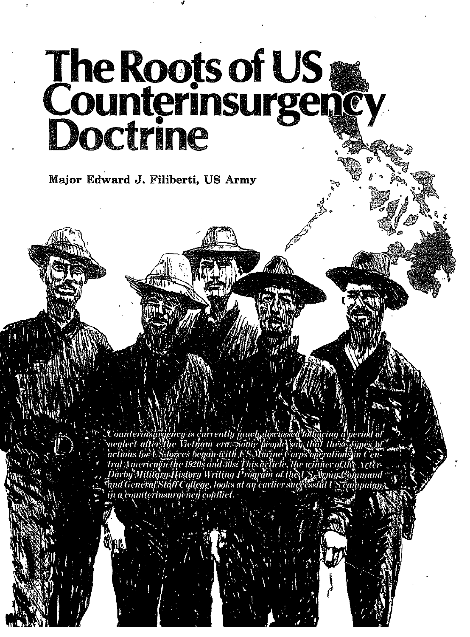# The Roots of US<br>Counterinsurgency<br>Doctrine

Major Edward J. Filiberti, US Army

Counterinsingency is currently much discussed following apperion of<br>Treglect after the Victimin eras some people sail, that the systems of<br>actions for US forces began with US Marine Corps of entities at actions for US of t in a counterinsurgency conflict.



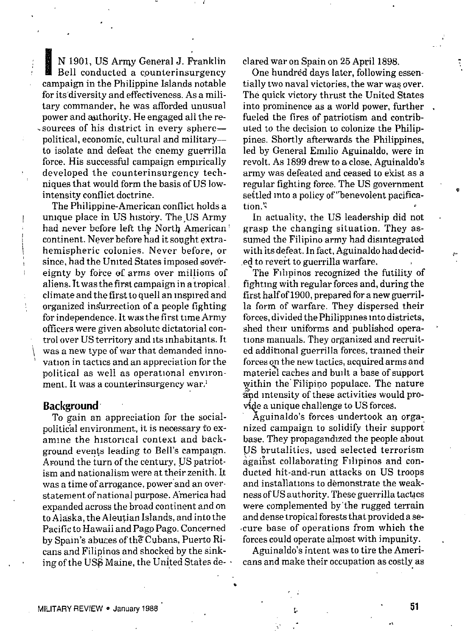N 1901, US Army General J. Franklin Bell conducted a counterinsurgency campaign in the Philippine Islands notable for its diversity and effectiveness. As a military commander, he was afforded unusual power and authority. He engaged all the resources of his district in every spherepolitical, economic, cultural and militaryto isolate and defeat the enemy guerrilla force. His successful campaign empirically developed the counterinsurgency techniques that would form the basis of US lowintensity conflict doctrine.

The Philippine-American conflict holds a unique place in US history. The US Army had never before left the North American' continent. Never before had it sought extrahemispheric colonies. Never before, or since, had the United States imposed sovereignty by force of arms over millions of aliens. It was the first campaign in a tropical climate and the first to quell an inspired and organized insurrection of a people fighting for independence. It was the first time Army officers were given absolute dictatorial control over US territory and its inhabitants. It was a new type of war that demanded innovation in tactics and an appreciation for the political as well as operational environment. It was a counterinsurgency war.1

### **Background**

To gain an appreciation for the socialpolitical environment, it is necessary to examine the historical context and background events leading to Bell's campaign. Around the turn of the century, US patriotism and nationalism were at their zenith. It was a time of arrogance, power and an overstatement of national purpose. America had expanded across the broad continent and on to Alaska, the Aleutian Islands, and into the Pacific to Hawaii and Pago Pago. Concerned by Spain's abuces of the Cubans, Puerto Ricans and Filipinos and shocked by the sinking of the USS Maine, the United States declared war on Spain on 25 April 1898.

One hundred days later, following essentially two naval victories, the war was over. The quick victory thrust the United States into prominence as a world power, further fueled the fires of patriotism and contributed to the decision to colonize the Philippines. Shortly afterwards the Philippines, led by General Emilio Aguinaldo, were in revolt. As 1899 drew to a close, Aguinaldo's army was defeated and ceased to exist as a regular fighting force. The US government settled into a policy of "benevolent pacification."

In actuality, the US leadership did not grasp the changing situation. They assumed the Filipino army had disintegrated with its defeat. In fact, Aguinaldo had decided to revert to guerrilla warfare.

The Filipinos recognized the futility of fighting with regular forces and, during the first half of 1900, prepared for a new guerrilla form of warfare. They dispersed their forces, divided the Philippines into districts, shed their uniforms and published operations manuals. They organized and recruited additional guerrilla forces, trained their forces on the new tactics, acquired arms and materiel caches and built a base of support within the Filipino populace. The nature and intensity of these activities would provide a unique challenge to US forces.

Aguinaldo's forces undertook an organized campaign to solidify their support base. They propagandized the people about US brutalities, used selected terrorism against collaborating Filipinos and conducted hit-and-run attacks on US troops and installations to demonstrate the weakness of US authority. These guerrilla tactacs were complemented by the rugged terrain and dense tropical forests that provided a secure base of operations from which the forces could operate almost with impunity.

Aguinaldo's intent was to tire the Americans and make their occupation as costly as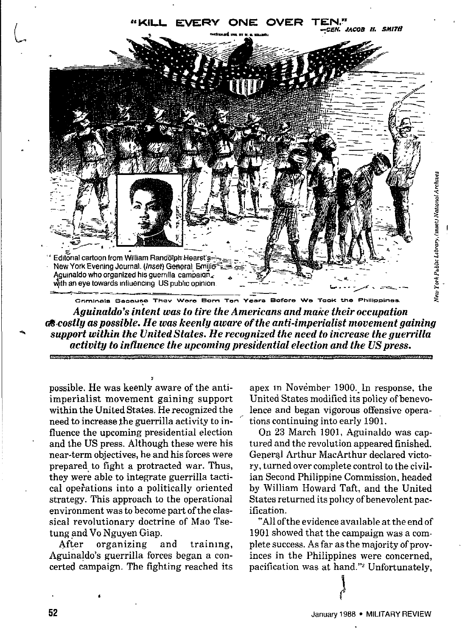

Aguinaldo's intent was to tire the Americans and make their occupation **of costly as possible. He was keenly aware of the anti-imperialist movement gaining** support within the United States. He recognized the need to increase the querrilla activity to influence the uncoming presidential election and the US press.

possible. He was keenly aware of the antiimperialist movement gaining support within the United States. He recognized the need to increase the guerrilla activity to influence the upcoming presidential election and the US press. Although these were his near-term objectives, he and his forces were prepared to fight a protracted war. Thus, they were able to integrate guerrilla tactical operations into a politically oriented strategy. This approach to the operational environment was to become part of the classical revolutionary doctrine of Mao Tsetung and Vo Nguyen Giap.

After organizing and training, Aguinaldo's guerrilla forces began a concerted campaign. The fighting reached its

apex in November 1900. In response, the United States modified its policy of benevolence and began vigorous offensive operations continuing into early 1901.

On 23 March 1901. Aguinaldo was captured and the revolution appeared finished. General Arthur MacArthur declared victory, turned over complete control to the civilian Second Philippine Commission, headed by William Howard Taft, and the United States returned its policy of benevolent pacification.

"All of the evidence available at the end of 1901 showed that the campaign was a complete success. As far as the majority of provinces in the Philippines were concerned. pacification was at hand."<sup>2</sup> Unfortunately.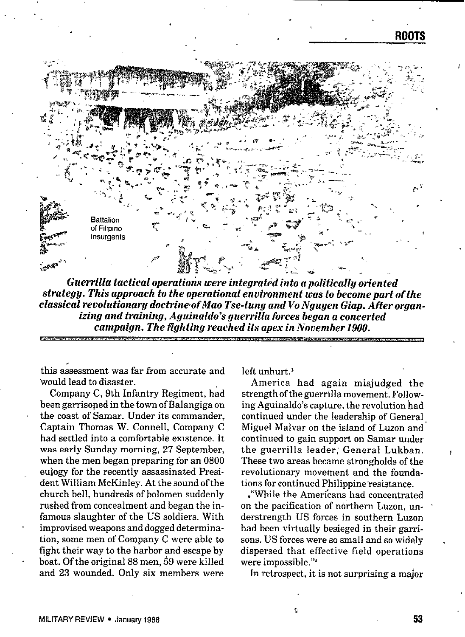

*GuerrWa tactical operatioris were integrated into apolitically oriented strategy. This approach to the operational environment was to become part of the classical revolutionary doctrine of Mao Tse-tung and VoNguyen Giap. After organizing and training, Aguinaldo's guerrilla forces began a concerted campaign. The fighting reached its apex in November 1900.*

this assessment was far from accurate and 'would lead to disaster.

Company C, 9th Infantry Regiment, had been garrisoned in the town of Balangiga on the coast of Samar. Under its commander, Captain Thomas W. Connell, Company C had settIed into a comfortable existence. It was early Sunday morning, *27* September, when the men began preparing for an 0800 eulogy for the recently assassinated President William McKinley. At the sound of the church bell, hundreds of bolomen suddenly rushed from concealment and began the infamous slaughter of the US soldiers. With improvised weapons and dogged determination, some men of Company C were able to fight their way to the harbor and escape by boat. Of the original 88 men, 59 were killed and 23 wounded. Only six members were

left unhurt.'

America had again misjudged the strength of the guerrilla movement. Following Aguinaldo's capture, the revolution had continued under the leadership of General Miguel Malvar on the island of Luzon and continued to gain support on Samar under the guerrilla leader, General Lukban. These two areas became strongholds of the revolutionary movement and the foundations for continued Philippine resistance.

\*"while the Amerfcans had concentrated on the pacification of northern Luzon, understrength US forces in southern Luzon had been virtually besieged in their garrisons. US forces were so small and so widely dispersed that effective field operations were impossible. "4

In retrospect, it is not surprising a major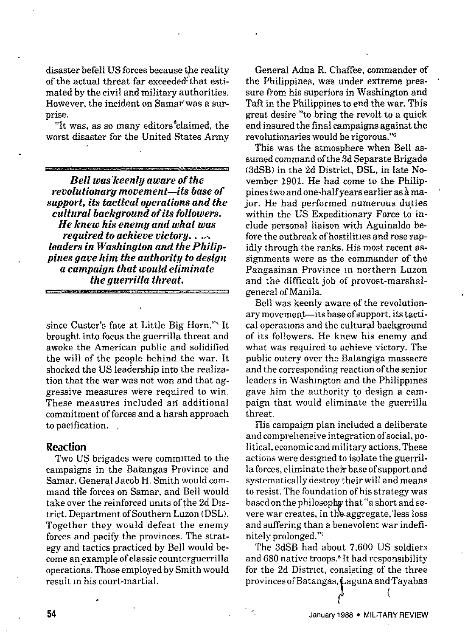disaster befell US forces because the reality of the actual threat far exceeded-that estimated by the civil and military authorities. However, the incident on Samar'was a surprise.

"It was, as so many editors"claimed, the worst disaster for the United States Army

**Bell** *was'keenly* **aware of the**  $revolution$ *ary* **movement—its base of support, its tactical operations** *and the* **cultural** *background of its followers. He knew ids enensg and what was required to achieve victorg. . .... leaders in Washington and the Philippines gave him the aut?zority to design a campaign that would eliminate the guerritla threat.* .<br>2004 - Para Laurence, amerikana menganjia yang bermula pada 2004.

since Custer's fate at Little Big Horn.'" It brought into focus the guerrilla threat and awoke the American pubiic and solidified the will of the people behind the war. It shocked the US leadership into the realization that the war was not won and that aggressive measures were required to win. These measures included an additional commitment of forces and a harsh approach to pacification. ,

### **Reaction**

Two Us brigades were committed to the campaigns in the Batangas Province and Samar. General Jacob H. Smith would command the forces on Samar, and Bell would take over the reinforced umts of the 2d **DIS**trict, Department of Southern Luzon (DSL). Together they would defeat the enemy forces and pacify the provinces. The strategy and tactics practiced by Bell would become an example of classic counterguerrilla operations. Those employed by Smith would result m his court-martial.

General Adna R. Chaffee, commander of the Philippines, was under extreme pressure from his superiors in Washington and Taft in the Philippines to end the war. This great desire "to bring the revolt to a quick end insured the final campaigns against the revolutionaries would be rigorous."<sup>6</sup>

This was the atmosphere when Bell assumed command of the 3d Separate Brigade (3dSB} in the 2d District, DSL, in late November 1901. He had come to the Philippines two and one-half years earlier as à major. He had performed numerous duties within the US Expeditionary Force to include personal liaison with Aguinaldo before the outbreak of hostilities and rose rapidly through the ranks. His most recent assignments were as the commander of the Pangasinan Prownce In northern Luzon and the difficult job of provost-marshalgeneral of Manila.

Bell was keenly aware of the revolutionary movement-its base of support, its tactical operations and the cultural background of its followers. He knew his enemy and what was required to achieve victory. The public outcry over the Balangiga massacre and the corresponding reaction of the senior leaders in Washington and the Philippines gave him the authority to design a campaign that would eliminate the guerrilla threat.

His campaign plan included a deliberate and comprehensive integration of social, political, economic and military actions. These actions were designed to isolate the guerrilla forces, eliminate their base of support and systematically destroy their will and means to resist. The foundation of his strategy was based on the philosophy that "a short and severe war creates, in the aggregate, less loss and suffering than a benevolent war indefinitely prolonged.'"

The 3dSB had about 7,600 US soldiers and 680 native troops.' It had responsibility for the 2d District, consisting of the three provinces of Batangas, Laguna and Tayabas

!

(

.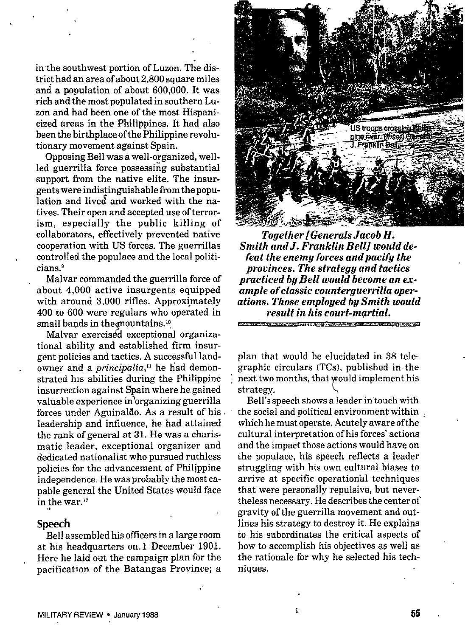in the southwest portion of Luzon. The district had an area of about 2,800 square miles and a population of about 600,000. It was rich and the most populated in southern Luzon and had been one of the most Hispanicized areas in the Philippines. It had also been the birthplace of the Philippine revolutionary movement against Spain.

Opposing Bell was a well-organized, wellled guerrilla force possessing substantial support from the native elite. The insurgents were indistinguishable from the population and lived and worked with the natives. Their open and accepted use of terrorism, especially the public kiHing of collaborators, effectively prevented native cooperation with US forces. The guerrillas controlled the populace and the local politicians.<sup>9</sup>

Malvar commanded the guerrilla force of about 4,000 active insurgents equipped with around 3,000 rifles. Approximately 400 to 600 were regulars who operated in small bands in the mountains.<sup>10</sup>

Malvar exercised exceptional organiza tional ability and established firm insurgent policies and tactics. A successful Iandowner and a *principalia*,<sup>11</sup> he had demonstrated his abilities during the Philippine insurrection against Spain where he gained valuable experience in'organizing guerrilla forces under Aguinaldo. As a result of his. leadership and influence, he had attained the rank of general at 31. He was a charismatic leader, exceptional organizer and dedicated nationalist who pursued ruthless policies for the advancement of Philippine independence. He was probably the most capable general the United States would face in the war. $^{\rm I}$ 

## **Speech**

Bell assembled his officers in a large room at his headquarters on. 1 December 1901. Here he laid out the campaign plan for the pacification of the Batangas Province; a



*Together[Generals Jacob il. Smith andJ. Franklin Bell] would de. feat the enemy forces andpacifi the provinces. The strategy and tactics practiced by Bell would become an example of classic counterguerrilla operations. Those employed by Smith would result in his court-mgrtial. w-~.. . ..*

plan that would be elucidated in 38 telegraphic circulars (TCS), publisbed in. the next two months, that would implement his strategy.

Bell's speech shows a leader in'touch with the social and political environment within , which be must operate. Acutely aware of the cultural interpretation of his forces' actions and the impact those actions would have on the populace, his speech reflects a leader struggling with his own cultural biases to arrive at specific operational techniques that were personally repulsive, but nevertheless necessary. He describes the center of gravity of the guerrilla movement and outlines his strategy to destroy it. He explains to his subordinates the critical aspects of how to accomplish his objectives as well as the rationale for why be selected his techniques.

t.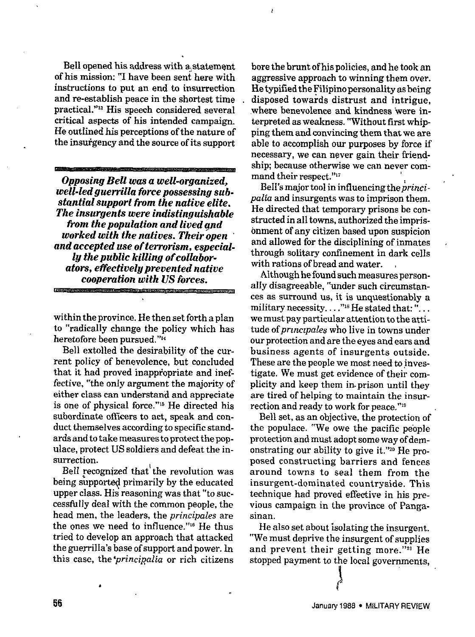Bell opened his address with a statement of his mission: "I have been sent here with instructions to put an end to insurrection and re-establish peace in the shortest time practical."<sup>13</sup> His speech considered several critical aspecta of his intended campaign. He outlined his perceptions of the nature of the insurgency and the source of its support

*Opposing Bell was a well-organized, well-led guerrilla force possessing substantial support from the native elite. The iasurgente were indistinguishable ti'om the population and lived and worked with the natives. Their open and accepted use of terrorism, especially the public killing of collaborators, effectively prevented native cooperation with US forces.*

within the province. He then set forth a plan to "radically change the policy which has heretofore been pursued."1<

Bell extolled the desirability of the current policy of benevolence, but concluded that it had proved inappropriate and ineffective, "the onIy argument the majority of either class can understand and appreciate is **one** of physical force."ls He directed his subordinate officers to act, speak and conduct themselves according *to* specific standards and to take measures to protect the populace, protect US soldiers and defeat the insurrection.

Bell recognized that the revolution was being supported primarily by the educated upper class. His reasoning was that "to successfu IIy deal with the common people, the head men, the leaders, the *principals are* the ones we need to influence."<sup>16</sup> He thus tried to deveIop an approach that attacked the guerrilla's base of support and power. In this case, the *principalia* or rich citizens bore the brunt of his policies, and he took an aggressive approach to winning them over. He typified the Filipino personality as being disposed towards distrust and intrigue, where benevolence and kindness 'were interpreted as weakness. "Without first whipping them and convincing them that we are able to accomplish our purposes by force if necessary, we can never gain their friendship; because otherwise we can never command their respect."<sup>17</sup>

Bell's major tool in influencing the *princi*palia and insurgents was to imprison them. He directed that temporary prisons be constructed in all towns, authorized the imprisonment of any citizen based upon suspicion and allowed for the disciplining of inmates through solitary confhement in dark cells with rations of bread and water.

Although he found euch measures personally disagreeable, "under such circumstances as surround ue, it is unquestionably a military necessity.  $\ldots$ "<sup>18</sup>He stated that: "... we must pay particular attention to the attitude of *przrsctpales* w"ho live in towns under our protection and are the eyes and eara and businees agents of insurgents outside. These are the people we most need to investigate. We must get evidence of their complicity and keep them in. prison until they are tired of helping to maintain the insurrection and ready to work for peace.'"g

Bell set, as an objective, the protection of the populace. '<We owe the pacific people protection and must adopt some way of demonstrating our ability to give it."zo He pro. posed constructing barriers and fences around towns to seal them from the insurgent-dominated countryside, This technique had proved effective in his previous campaign in the province of Pangasinan.

He also set about isolating the insurgent. "We must deprive the insurgent of supplies and prevent their getting more."<sup>21</sup> He stopped payment to the local governments,

> t"' t'

,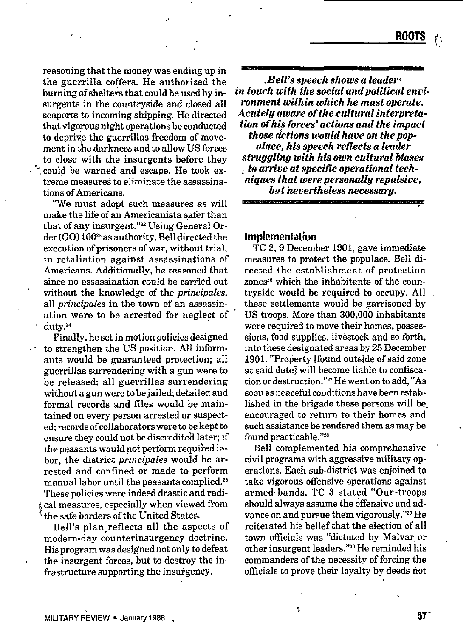reasoning that the money was ending up in the guerrilla coffers. He authorized the burning of shelters that could be used by insurgents' in the countryside and closed all seaports to incoming shipping. He directed that vigopous night operations be conducted to deprive the guerrillas freedom of movement in the darkness and to allow US forces to close with the insurgents before they '", could be warned and escape. He took extreme measures to eliminate the assassinations of Americans.

**.'**

"We must adopt such measures as will make the life of an Americanista safer than that of any insurgent."<sup>22</sup> Using General Order (GO) 100<sup>23</sup> as authority, Bell directed the execution of prisoners of war, without trial, in retaliation against assassinations of Americans. Additionally, he reasoned that since no assassination could be carried out without the knowledge of the **principals,** all **prineipales** in the town of an assassination were to be arrested for neglect of duty.<sup>24</sup>

Finally, he set in motion policies designed  $\cdot$  to strengthen the US position. All informants would be guaranteed protection; all guerrillas surrendering with a gun were to be released; all guerrillas surrendering without a gun were to be jailed; detailed and formal records and files would be maintained on every person arrested or suspected; records of collaborators were to be kept to ensure they could not be discredited later; if the peasants would not perform required labor, the district *principals* would be arrested and confined or made to perform manual labor until the peasants complied.26 These policies were indeed drastic and radi- ~cal measwes, especially when viewed from  $^{\frac{8}{3}}$ the safe borders of the United States.

Bell's plan reflects all the aspects of modern-day counterinsurgency doctrine. His program was designed not only to defeat the insurgent forces, but to destroy the infrastructure supporting the insurgency.

*Bell's speech shows a leaderin touch with the social and political environment within which he must operate. Acutely aware of the cultural interpretation of his forces' actions and the impact those a!ctioas would have on the populace, his speech reflects a leader struggling with his own cultural biases , to arrive at specific operational techniques that were personally reputsive, but nevertheless* **necessary,**

# **Implementation**

**TC 2,9** December 1901, gave immediate measures to protect the populace. Bell directed the establishment of protection zones<sup>26</sup> which the inhabitants of the countryside would be required to occupy. All these settlements would be garrisoned by US troops. More than 300,000 inhabitants were required to move their homes, possessions, food supplies, livestock and so forth, into these designated areas by 25 December 1901. "Property [found outside of said zone at said date] will become liable to confiscation or destruction."<sup>27</sup> He went on to add, "As soon as peaceful conditions have been established in the brigade these persons will be, encouraged to return to their homes and such assistance be rendered them as may be found practicable."28

Bell complemented his comprehensive civil programs with aggressive military operations. Each sub-district was enjoined to take vigorous offensive operations against armed. bands. TC 3 stated "Our-troops should always assume the offensive and advance on and pursue them vigorously."29 He reiterated his belief that the election of all town officials was "dictated by Malvar or other insurgent leaders."<sup>30</sup> He reminded his commanders of the necessity of forcing the officials to prove their loyalty by deeds not

c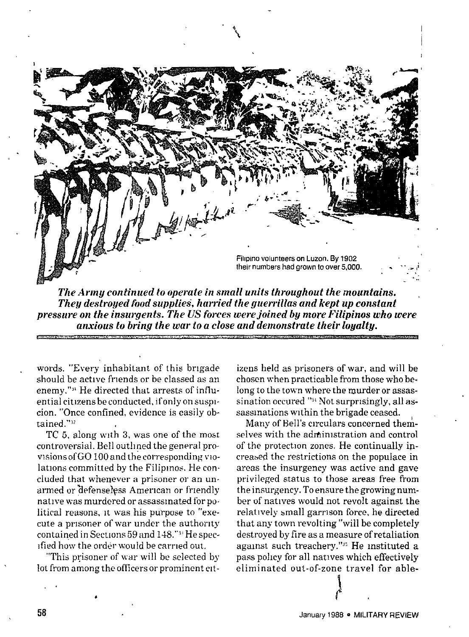

*The Army continued to operate in small units throughout the mountains. They destroyed food supplies, harried the guerrillas fmd kept up constant pressure on the insurgents. The US forces were joined bg more Filipinos who were anxious to brin.q the war to a close and demonstrate their lo.ualtu.*

words. 'fEvery inhabitant of this brigade should be active friends or be classed as an enemy."<sup>31</sup> He directed that arrests of influential citizens be conducted, if only on suspicion. "Once confined, evidence is easily obtained<sup>"32</sup>

TC 5, along with 3, was one of the most controversial. Bell outllned the general provlsionsofGO 100 and the corresponding vlolations committed by the Filipinos. He coneluded that whenever a prisoner or an un. armed or defenseless American or friendly native was murdered or assassinated for political reasons, it was his purpose to "execute a prisoner of war under the authority contained in Sections 59 and 148."<sup>3</sup> He specified how the order would be carried out.

"This prisoner of war will be selected by lot from among the officers or prominent cit-

,

izens held as prisoners of war, and will be chosen when practicable from those who be. long to the town where the murder or assassination occured "<sup>34</sup> Not surprisingly, all assassinations within the brigade ceased.

Many of Bell's circulars concerned themselves with the administration and control of the protection zones. He continually ipcreased the restrictions on the populace in areas the insurgency was active and gave privileged status to those areas free from the insurgency. To ensure the growing number of natives would not revolt against the relatively small garrison force, he directed that any town revolting "will be completely destroyed by fire as a measure of retaliation against such treachery."<sup>35</sup> He instituted a pass pohcy for all natives which effectively eliminated out-of-zone travel for able-

!  $\mathfrak{r}$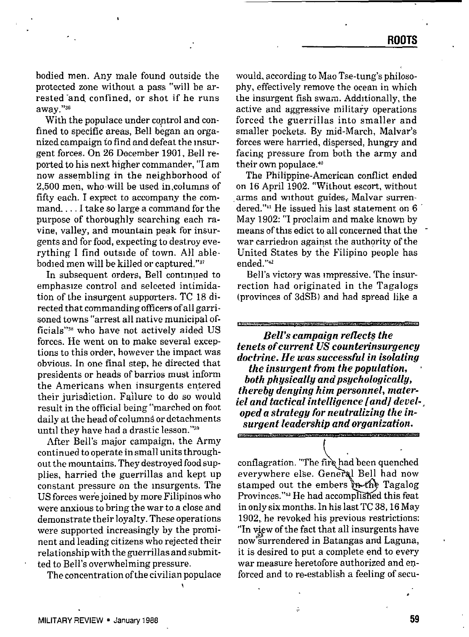bodied men. Any male found outside the protected zone without a pass "will be arrested "and. confined, or shot if he runs away."36

With the populace under control and confined to specific areas, Bell began an organized campaign to find and defeat the insurgent forces. On 26 December 1901, Bell reported to his next higher commander, "I am now assembling in the neighborhood of 2,500 men, who will be used in columns of fifty each. I expect to accompany the command. . . . I take so large a command for the purpose of thoroughly searching each ravine, valley, and mountain peak for insurgents and for food, expecting to destroy everything I find outside of town. All ablebodied men will be killed or captured."<sup>37</sup>

In subsequent orders, Bell contmyed to emphasize control and selected intimidation of the insurgent supporters. TC 18 directed that commanding officers of all garrisoned towns "arrest all native municipal officials"<sup>38</sup> who have not actively aided US forces. He went on to make several exceptions to this order, however the impact was obvious. *In* one final step, he directed that presidents or heads of barrios must inform the Americans when insurgents entered their jurisdiction. Failure to do so would result in the official being "marched on foot daily at the head of columns or detachments until they have had a drastic lesson. "3'

After Bell's major campaign, the Army continued to operate in small units throughout the mountains. They destroyed food supplies, harried the guerrillas and kept up constant pressure on the insurgents. The US forces were joined by more Filipinos who were anxious to bring the war to a close and demonstrate their loyalty. These operations were supported increasingly by the prominent and leading citizens who rejected their relationship with the guerrillas and submitted to Bell's overwhelming pressure.

Tbe concentration of the civilian populace

would, according to Mao Tse-tung's philosophy, effectively remove the ocean in which the insurgent fish swam. Additionally, the active and aggressive military operations forced tbe guerrillas into smaller and smaller pockets. By mid-March, Malvar's forces were harried, dispersed, hungry and facing pressure from both the azmy and their own populace.<sup>40</sup>

The Philippine-American conflict ended on 16 April 1902. "Without escort, without arms and without guides, Malvar surrendered.''" He issued his last statement on 6 May 1902: "I proclaim and make known by means of this edict to all concerned that the war carried on against the authority of the United States by the Filipino people has ended."<sup>42</sup>

Bell's victory was Impressive. The insurrection had originated in the Tagalogs (provinces of 3dSB) and had spread like a

*Belf's campaign reflect? the tenets of current US counterinsurgency doctrine. He was successful in isolating the insurgent from the population, both physically and psychologically, thereby denying him personnel, materiel and tactical intelligence [and] devel-, oped a strategy for neutralizing the insurgent leadership and organization.*

*[*

conflagration. "The fire had been quenched everywhere else. General Bell had now stamped out the embers in the Tagalog Provinces."<sup>43</sup> He had accomplished this feat in only six months. In his last TC 38, 16 May 1902, he revoked his previous restrictions: "In view of the fact that all insurgents have now surrendered in Batangas and Laguna, it is desired to put a complete end to every war measure heretofore authorized and enforced and to re-establish a feeling of secu-

į.

"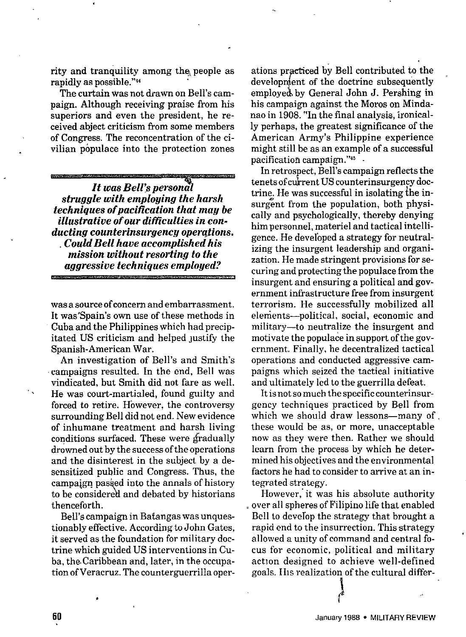rity and tranquility among the people as rapidly as possible."<sup>44</sup>

The curtain was not drawn on Bell's campaign. Although receiving praise from his superiors and even the president, he received abject criticism from some members of Congress. The reconcentration of the civilian populace into the protection zones

It was Bell's personal *struggle with employing the harsh techniques* of *pacification that may be illustrative of our difficulties in con* $ducting$  *counterinsurgency operations. Could Bell have accomplished his mission without resorting to the aggressive techniques employed?*

was a source of concern and embarrassment. It was'Spain's own use of these methods in Cuba and the Philippines which bad precipitated US criticism and helped justify the Spanish-American War.

An investigation of Bell's and Smith's campaigns resulted. In the end, Bell was vindicated, but Smith did not fare as well. He was court-martialed, found guilty and forced to retire. However, the controversy surrounding Bell did not end. New evidence of inhumane treatment and harsh living conditions surfaced. These were gradually drowned out by the success of the operations and the disinterest in the subject by a desensitized public and Congress. Thus, the campaign passed into the annals of history to be considered and debated by historians thenceforth.

Bell's campaign in Batangas was unquestionably effective. According to John Gates, it served as the foundation for military doctrine which guided US interventions in Cuba, the Caribbean and, later, in the occupation of Veracruz. The counterguerrilla oper-

ations practiced by Bell contributed to the employed by General John J. Pershing in development of the doctrine subsequently his campaign against the Moros on Mindanao in 1908. "In the final analysis, ironically perhaps, tbe greatest significance of the American Army's Philippine experience might still be as an example of a successful pacification campaign."<sup>45</sup>

In retrospect, Bell's campaign reflects the tenets of current US counterinsurgency doctrine. He was successful in isolating the insurgent from the population, both physically and psychologically, thereby denying him personnel, materiel and tactical intelligence. He developed a strategy for neutralizing the insurgent leadership and organization. He made stringent provisions for securing and protecting the populace from the insurgent and ensuring a political and government infrastructure free from insurgent terrorism. He successfully mobilized all elements—political, social, economic and military—to neutralize tbe insurgent and motivate the populace in support of the government. Finally, he decentralized tactical operations and conducted aggressive campaigns which seized the tactical initiative and ultimately led to the guerrilla defeat.

It is not so much the specific counterinsurgency techniques practiced by Bell from which we should draw lessons-many of these would be as, or more, unacceptable now as they were then. Rather we should learn from the process by which he determined his objectives and the environmental factors he had to consider to arrive at an integrated strategy.

However, it was his absolute authority , over all spheres of Filipino life that enabled Bell to develop the strategy that brought a rapid end to the insurrection. This strategy allowed a unity of command and central focus for economic, political and military action designed to achieve well-defined goals. Iils realization of the cultural differ-

1

t

.,